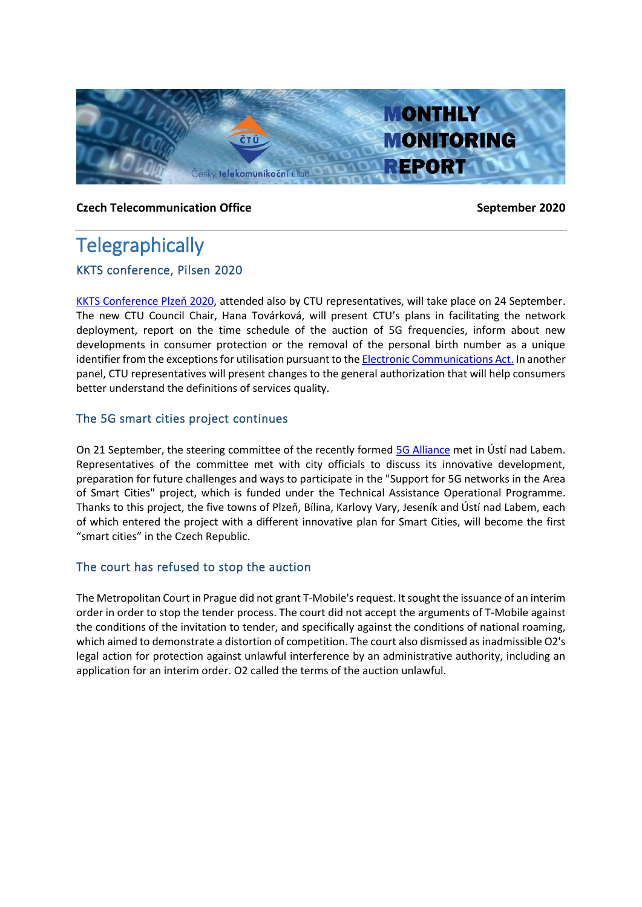

#### **Czech Telecommunication Office September 2020**

# **Telegraphically**

### KKTS conference, Pilsen 2020

[KKTS Conference](https://www.isp-konference.cz/kkts-site-plzen-2020/kkts-site-plzen-2020) Plzeň 2020, attended also by CTU representatives, will take place on 24 September. The new CTU Council Chair, Hana Továrková, will present CTU's plans in facilitating the network deployment, report on the time schedule of the auction of 5G frequencies, inform about new developments in consumer protection or the removal of the personal birth number as a unique identifier from the exceptions for utilisation pursuant to th[e Electronic Communications Act.](https://www.mpo.cz/en/e-communications-and-postal-services/electronic-communications/national-legislation-and-regulations/electronic-communications-act--156569/) In another panel, CTU representatives will present changes to the general authorization that will help consumers better understand the definitions of services quality.

### The 5G smart cities project continues

On 21 September, the steering committee of the recently formed [5G Alliance](https://www.5galiance.cz/) met in Ústí nad Labem. Representatives of the committee met with city officials to discuss its innovative development, preparation for future challenges and ways to participate in the "Support for 5G networks in the Area of Smart Cities" project, which is funded under the Technical Assistance Operational Programme. Thanks to this project, the five towns of Plzeň, Bílina, Karlovy Vary, Jeseník and Ústí nad Labem, each of which entered the project with a different innovative plan for Smart Cities, will become the first "smart cities" in the Czech Republic.

### The court has refused to stop the auction

The Metropolitan Court in Prague did not grant T-Mobile's request. It sought the issuance of an interim order in order to stop the tender process. The court did not accept the arguments of T-Mobile against the conditions of the invitation to tender, and specifically against the conditions of national roaming, which aimed to demonstrate a distortion of competition. The court also dismissed as inadmissible O2's legal action for protection against unlawful interference by an administrative authority, including an application for an interim order. O2 called the terms of the auction unlawful.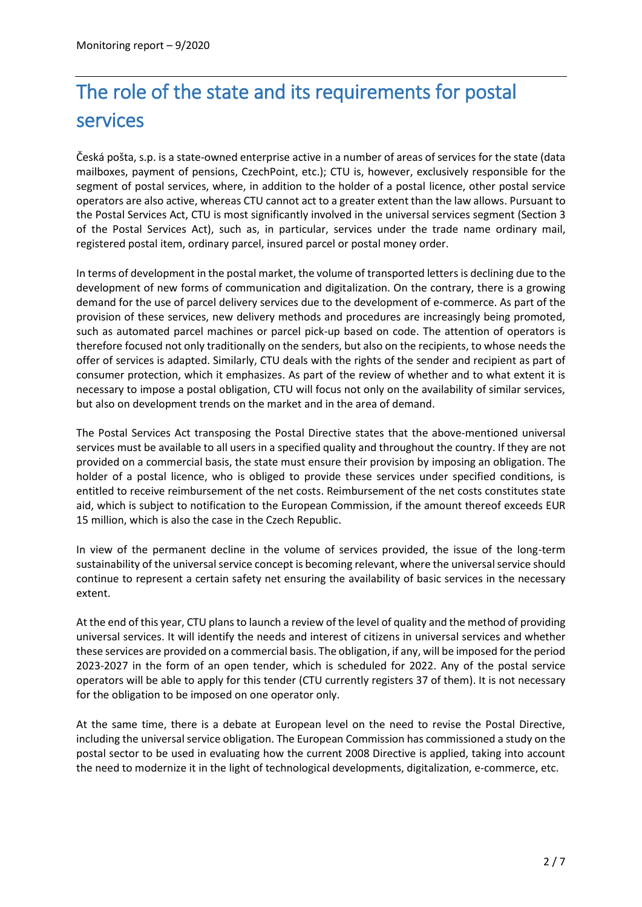# The role of the state and its requirements for postal services

Česká pošta, s.p. is a state-owned enterprise active in a number of areas of services for the state (data mailboxes, payment of pensions, CzechPoint, etc.); CTU is, however, exclusively responsible for the segment of postal services, where, in addition to the holder of a postal licence, other postal service operators are also active, whereas CTU cannot act to a greater extent than the law allows. Pursuant to the Postal Services Act, CTU is most significantly involved in the universal services segment (Section 3 of the Postal Services Act), such as, in particular, services under the trade name ordinary mail, registered postal item, ordinary parcel, insured parcel or postal money order.

In terms of development in the postal market, the volume of transported letters is declining due to the development of new forms of communication and digitalization. On the contrary, there is a growing demand for the use of parcel delivery services due to the development of e-commerce. As part of the provision of these services, new delivery methods and procedures are increasingly being promoted, such as automated parcel machines or parcel pick-up based on code. The attention of operators is therefore focused not only traditionally on the senders, but also on the recipients, to whose needs the offer of services is adapted. Similarly, CTU deals with the rights of the sender and recipient as part of consumer protection, which it emphasizes. As part of the review of whether and to what extent it is necessary to impose a postal obligation, CTU will focus not only on the availability of similar services, but also on development trends on the market and in the area of demand.

The Postal Services Act transposing the Postal Directive states that the above-mentioned universal services must be available to all users in a specified quality and throughout the country. If they are not provided on a commercial basis, the state must ensure their provision by imposing an obligation. The holder of a postal licence, who is obliged to provide these services under specified conditions, is entitled to receive reimbursement of the net costs. Reimbursement of the net costs constitutes state aid, which is subject to notification to the European Commission, if the amount thereof exceeds EUR 15 million, which is also the case in the Czech Republic.

In view of the permanent decline in the volume of services provided, the issue of the long-term sustainability of the universal service concept is becoming relevant, where the universal service should continue to represent a certain safety net ensuring the availability of basic services in the necessary extent.

At the end of this year, CTU plans to launch a review of the level of quality and the method of providing universal services. It will identify the needs and interest of citizens in universal services and whether these services are provided on a commercial basis. The obligation, if any, will be imposed for the period 2023-2027 in the form of an open tender, which is scheduled for 2022. Any of the postal service operators will be able to apply for this tender (CTU currently registers 37 of them). It is not necessary for the obligation to be imposed on one operator only.

At the same time, there is a debate at European level on the need to revise the Postal Directive, including the universal service obligation. The European Commission has commissioned a study on the postal sector to be used in evaluating how the current 2008 Directive is applied, taking into account the need to modernize it in the light of technological developments, digitalization, e-commerce, etc.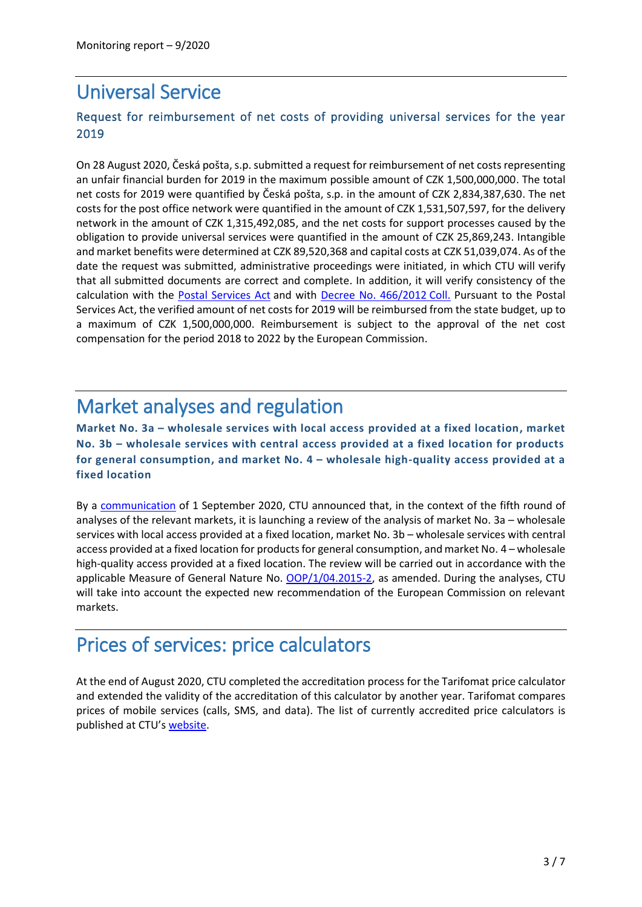## Universal Service

### Request for reimbursement of net costs of providing universal services for the year 2019

On 28 August 2020, Česká pošta, s.p. submitted a request for reimbursement of net costs representing an unfair financial burden for 2019 in the maximum possible amount of CZK 1,500,000,000. The total net costs for 2019 were quantified by Česká pošta, s.p. in the amount of CZK 2,834,387,630. The net costs for the post office network were quantified in the amount of CZK 1,531,507,597, for the delivery network in the amount of CZK 1,315,492,085, and the net costs for support processes caused by the obligation to provide universal services were quantified in the amount of CZK 25,869,243. Intangible and market benefits were determined at CZK 89,520,368 and capital costs at CZK 51,039,074. As of the date the request was submitted, administrative proceedings were initiated, in which CTU will verify that all submitted documents are correct and complete. In addition, it will verify consistency of the calculation with the [Postal Services Act](https://www.zakonyprolidi.cz/cs/2000-29) and with [Decree No. 466/2012](https://www.zakonyprolidi.cz/cs/2012-466) Coll. Pursuant to the Postal Services Act, the verified amount of net costs for 2019 will be reimbursed from the state budget, up to a maximum of CZK 1,500,000,000. Reimbursement is subject to the approval of the net cost compensation for the period 2018 to 2022 by the European Commission.

# Market analyses and regulation

**Market No. 3a – wholesale services with local access provided at a fixed location, market No. 3b – wholesale services with central access provided at a fixed location for products for general consumption, and market No. 4 – wholesale high-quality access provided at a fixed location**

By a [communication](https://www.ctu.eu/communication-launching-relevant-market-analysis-markets-no-3a-3b-and-4-fifth-round) of 1 September 2020, CTU announced that, in the context of the fifth round of analyses of the relevant markets, it is launching a review of the analysis of market No. 3a – wholesale services with local access provided at a fixed location, market No. 3b – wholesale services with central access provided at a fixed location for products for general consumption, and market No. 4 – wholesale high-quality access provided at a fixed location. The review will be carried out in accordance with the applicable Measure of General Nature No. [OOP/1/04.2015-2,](https://www.ctu.cz/cs/download/oop/rok_2015/oop_01-04_2015-02.pdf) as amended. During the analyses, CTU will take into account the expected new recommendation of the European Commission on relevant markets.

### Prices of services: price calculators

At the end of August 2020, CTU completed the accreditation process for the Tarifomat price calculator and extended the validity of the accreditation of this calculator by another year. Tarifomat compares prices of mobile services (calls, SMS, and data). The list of currently accredited price calculators is published at CTU's [website.](https://www.ctu.eu/price-calculators)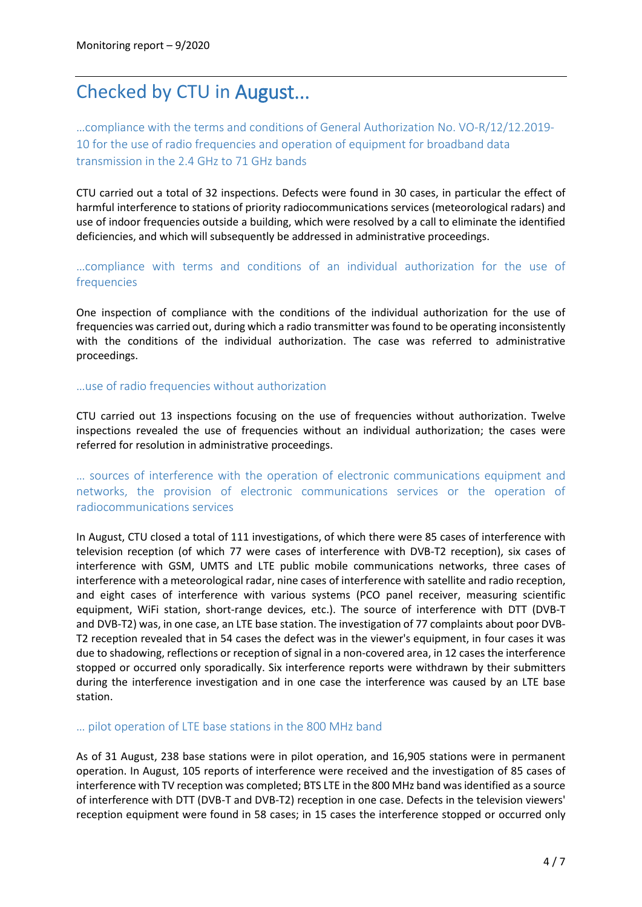## Checked by CTU in August...

…compliance with the terms and conditions of General Authorization No. [VO-R/12/12.2019-](https://www.ctu.cz/vseobecne-opravneni-c-vo-r12122019-10) [10](https://www.ctu.cz/vseobecne-opravneni-c-vo-r12122019-10) for the use of radio frequencies and operation of equipment for broadband data transmission in the 2.4 GHz to 71 GHz bands

CTU carried out a total of 32 inspections. Defects were found in 30 cases, in particular the effect of harmful interference to stations of priority radiocommunications services (meteorological radars) and use of indoor frequencies outside a building, which were resolved by a call to eliminate the identified deficiencies, and which will subsequently be addressed in administrative proceedings.

…compliance with terms and conditions of an individual authorization for the use of frequencies

One inspection of compliance with the conditions of the individual authorization for the use of frequencies was carried out, during which a radio transmitter was found to be operating inconsistently with the conditions of the individual authorization. The case was referred to administrative proceedings.

#### …use of radio frequencies without authorization

CTU carried out 13 inspections focusing on the use of frequencies without authorization. Twelve inspections revealed the use of frequencies without an individual authorization; the cases were referred for resolution in administrative proceedings.

… sources of interference with the operation of electronic communications equipment and networks, the provision of electronic communications services or the operation of radiocommunications services

In August, CTU closed a total of 111 investigations, of which there were 85 cases of interference with television reception (of which 77 were cases of interference with DVB-T2 reception), six cases of interference with GSM, UMTS and LTE public mobile communications networks, three cases of interference with a meteorological radar, nine cases of interference with satellite and radio reception, and eight cases of interference with various systems (PCO panel receiver, measuring scientific equipment, WiFi station, short-range devices, etc.). The source of interference with DTT (DVB-T and DVB-T2) was, in one case, an LTE base station. The investigation of 77 complaints about poor DVB-T2 reception revealed that in 54 cases the defect was in the viewer's equipment, in four cases it was due to shadowing, reflections or reception of signal in a non-covered area, in 12 cases the interference stopped or occurred only sporadically. Six interference reports were withdrawn by their submitters during the interference investigation and in one case the interference was caused by an LTE base station.

#### … pilot operation of LTE base stations in the 800 MHz band

As of 31 August, 238 base stations were in pilot operation, and 16,905 stations were in permanent operation. In August, 105 reports of interference were received and the investigation of 85 cases of interference with TV reception was completed; BTS LTE in the 800 MHz band was identified as a source of interference with DTT (DVB-T and DVB-T2) reception in one case. Defects in the television viewers' reception equipment were found in 58 cases; in 15 cases the interference stopped or occurred only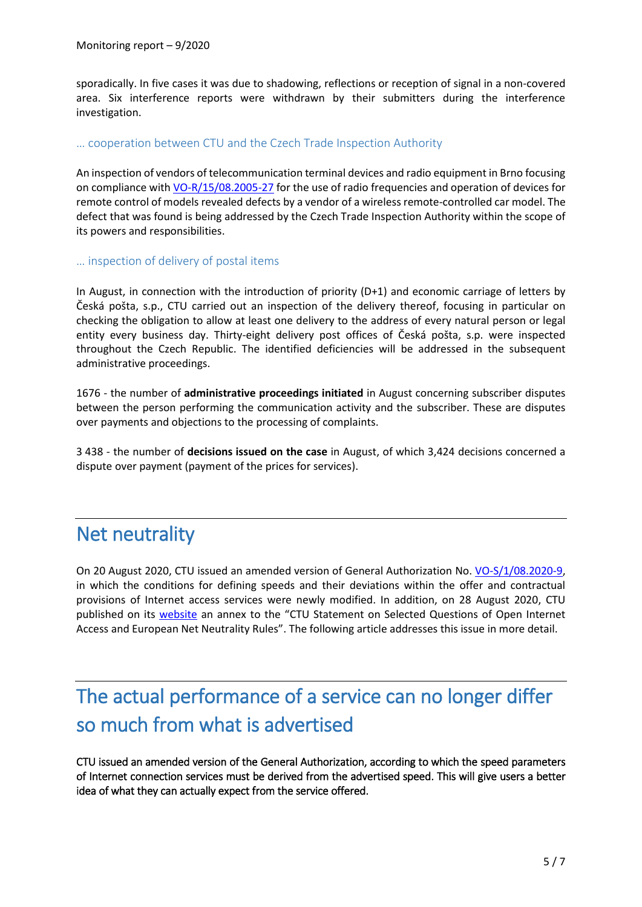sporadically. In five cases it was due to shadowing, reflections or reception of signal in a non-covered area. Six interference reports were withdrawn by their submitters during the interference investigation.

#### … cooperation between CTU and the Czech Trade Inspection Authority

An inspection of vendors of telecommunication terminal devices and radio equipment in Brno focusing on compliance wit[h VO-R/15/08.2005-27](https://www.ctu.cz/1/download/Opatreni%20obecne%20povahy/VO_R_15_08_2005_27.pdf) for the use of radio frequencies and operation of devices for remote control of models revealed defects by a vendor of a wireless remote-controlled car model. The defect that was found is being addressed by the Czech Trade Inspection Authority within the scope of its powers and responsibilities.

#### … inspection of delivery of postal items

In August, in connection with the introduction of priority (D+1) and economic carriage of letters by Česká pošta, s.p., CTU carried out an inspection of the delivery thereof, focusing in particular on checking the obligation to allow at least one delivery to the address of every natural person or legal entity every business day. Thirty-eight delivery post offices of Česká pošta, s.p. were inspected throughout the Czech Republic. The identified deficiencies will be addressed in the subsequent administrative proceedings.

1676 - the number of **administrative proceedings initiated** in August concerning subscriber disputes between the person performing the communication activity and the subscriber. These are disputes over payments and objections to the processing of complaints.

3 438 - the number of **decisions issued on the case** in August, of which 3,424 decisions concerned a dispute over payment (payment of the prices for services).

### Net neutrality

On 20 August 2020, CTU issued an amended version of General Authorization No. [VO-S/1/08.2020-9,](https://www.ctu.cz/sites/default/files/obsah/stranky/36864/soubory/vos1final.pdf) in which the conditions for defining speeds and their deviations within the offer and contractual provisions of Internet access services were newly modified. In addition, on 28 August 2020, CTU published on its [website](https://www.ctu.eu/data-traffic-management-parameters-measuring-quality) an annex to the "CTU Statement on Selected Questions of Open Internet Access and European Net Neutrality Rules". The following article addresses this issue in more detail.

# The actual performance of a service can no longer differ so much from what is advertised

CTU issued an amended version of the General Authorization, according to which the speed parameters of Internet connection services must be derived from the advertised speed. This will give users a better idea of what they can actually expect from the service offered.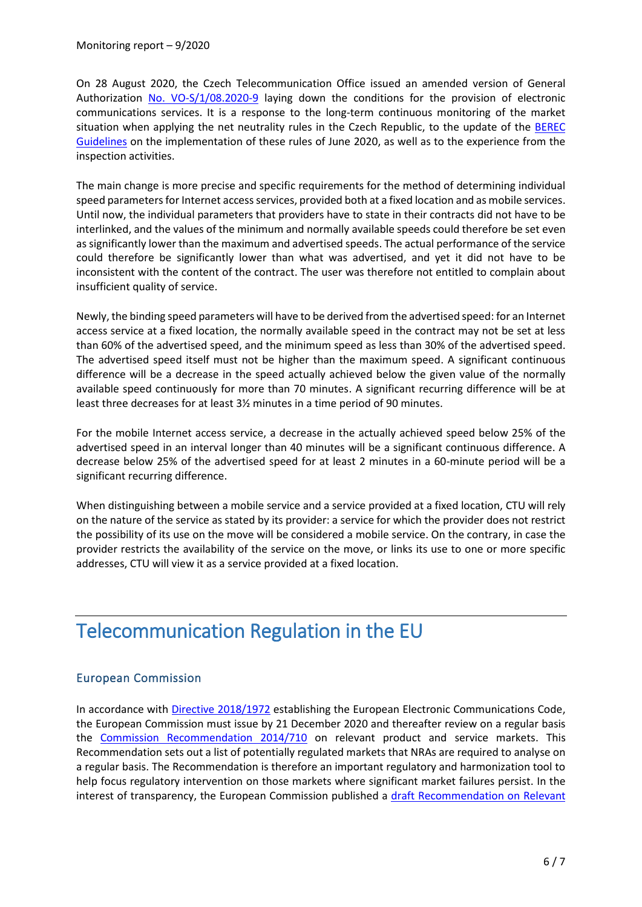On 28 August 2020, the Czech Telecommunication Office issued an amended version of General Authorization [No. VO-S/1/08.2020-9](https://www.ctu.cz/sites/default/files/obsah/stranky/36864/soubory/vos1final.pdf) laying down the conditions for the provision of electronic communications services. It is a response to the long-term continuous monitoring of the market situation when applying the net neutrality rules in the Czech Republic, to the update of the [BEREC](https://berec.europa.eu/eng/document_register/subject_matter/berec/regulatory_best_practices/guidelines/9277-berec-guidelines-on-the-implementation-of-the-open-internet-regulation) Guidelines on the implementation of these rules of June 2020, as well as to the experience from the inspection activities.

The main change is more precise and specific requirements for the method of determining individual speed parameters for Internet access services, provided both at a fixed location and as mobile services. Until now, the individual parameters that providers have to state in their contracts did not have to be interlinked, and the values of the minimum and normally available speeds could therefore be set even as significantly lower than the maximum and advertised speeds. The actual performance of the service could therefore be significantly lower than what was advertised, and yet it did not have to be inconsistent with the content of the contract. The user was therefore not entitled to complain about insufficient quality of service.

Newly, the binding speed parameters will have to be derived from the advertised speed: for an Internet access service at a fixed location, the normally available speed in the contract may not be set at less than 60% of the advertised speed, and the minimum speed as less than 30% of the advertised speed. The advertised speed itself must not be higher than the maximum speed. A significant continuous difference will be a decrease in the speed actually achieved below the given value of the normally available speed continuously for more than 70 minutes. A significant recurring difference will be at least three decreases for at least 3½ minutes in a time period of 90 minutes.

For the mobile Internet access service, a decrease in the actually achieved speed below 25% of the advertised speed in an interval longer than 40 minutes will be a significant continuous difference. A decrease below 25% of the advertised speed for at least 2 minutes in a 60-minute period will be a significant recurring difference.

When distinguishing between a mobile service and a service provided at a fixed location, CTU will rely on the nature of the service as stated by its provider: a service for which the provider does not restrict the possibility of its use on the move will be considered a mobile service. On the contrary, in case the provider restricts the availability of the service on the move, or links its use to one or more specific addresses, CTU will view it as a service provided at a fixed location.

# Telecommunication Regulation in the EU

### European Commission

In accordance with [Directive 2018/1972](https://eur-lex.europa.eu/legal-content/EN/TXT/PDF/?uri=CELEX:32018L1972&from=EN) establishing the European Electronic Communications Code, the European Commission must issue by 21 December 2020 and thereafter review on a regular basis the [Commission Recommendation 2014/710](https://eur-lex.europa.eu/legal-content/EN/TXT/PDF/?uri=CELEX:32014H0710&from=EN) on relevant product and service markets. This Recommendation sets out a list of potentially regulated markets that NRAs are required to analyse on a regular basis. The Recommendation is therefore an important regulatory and harmonization tool to help focus regulatory intervention on those markets where significant market failures persist. In the interest of transparency, the European Commission published a [draft Recommendation on Relevant](https://ec.europa.eu/digital-single-market/en/news/recommendation-relevant-markets)